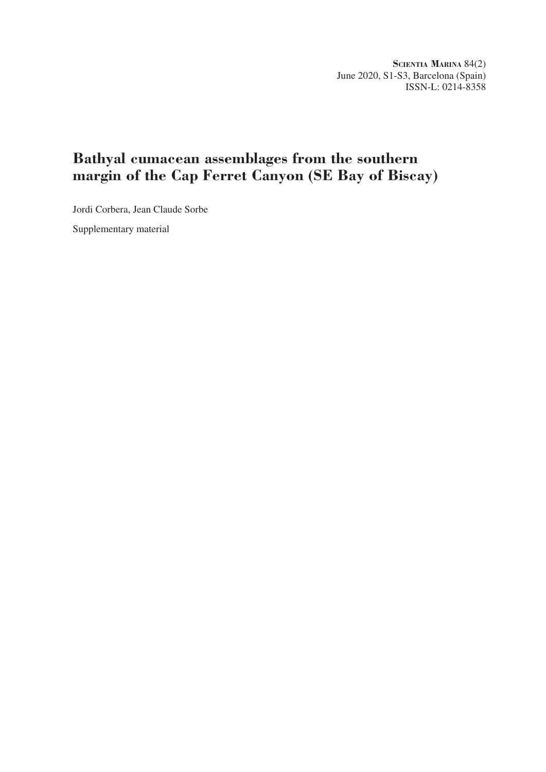**Scientia Marina** 84(2) June 2020, S1-S3, Barcelona (Spain) ISSN-L: 0214-8358

## **Bathyal cumacean assemblages from the southern margin of the Cap Ferret Canyon (SE Bay of Biscay)**

Jordi Corbera, Jean Claude Sorbe

Supplementary material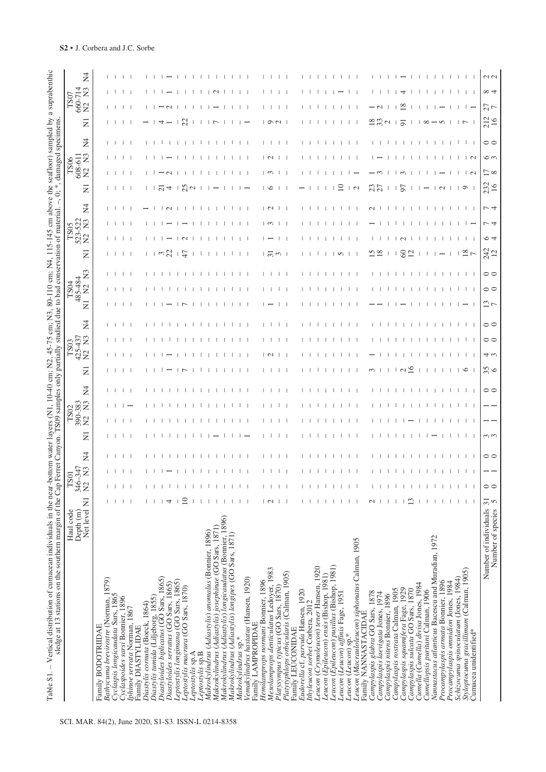| ertical distribution of cumacean individuals in the near-bottom water layers (N1, 10-40 cm; N2, 45-75 cm; N3, 80-110 cm; N4, 115-145 cm abouted the Cap Ferret Capyon. TS09 samples only partially studied due to bad conserva<br>- Vertical distribution of cumacean individuals in the near-b<br>Table S1. |                                                   |                                |                            |                |                |                                                     |                |         |             |                             |                |                | 80-110 cm; N4, 115-145 cm above the seafloor) sampled by a suprabenthic<br>to bad conservation of material $-0$ : * damaged specimens |                                           |          |                                                  |                    |                |                             |          |                |                         |                                             |        |  |
|--------------------------------------------------------------------------------------------------------------------------------------------------------------------------------------------------------------------------------------------------------------------------------------------------------------|---------------------------------------------------|--------------------------------|----------------------------|----------------|----------------|-----------------------------------------------------|----------------|---------|-------------|-----------------------------|----------------|----------------|---------------------------------------------------------------------------------------------------------------------------------------|-------------------------------------------|----------|--------------------------------------------------|--------------------|----------------|-----------------------------|----------|----------------|-------------------------|---------------------------------------------|--------|--|
|                                                                                                                                                                                                                                                                                                              | Net level N1<br>Haul code<br>Depth <sub>(m)</sub> | 346–347<br>$^{27}$<br>$\Sigma$ | $\Sigma$<br>$\overline{5}$ | $\overline{2}$ | $\overline{z}$ | 390-383<br>$\Sigma$<br>TS <sub>02</sub><br>$\Sigma$ | $\overline{A}$ | Ξ       | $\tilde{z}$ | $\Sigma$<br>425-437<br>TS03 | N <sub>4</sub> | $\overline{z}$ | $\mathbb{E}$<br>485-484<br>TS04<br>$\Sigma$                                                                                           | $\overline{z}$                            |          | $\Sigma$<br>523-522<br>N2 N3<br>TS <sub>05</sub> | Ž4                 | Ξ              | 608-611<br>TS06<br>$\Sigma$ | $\Sigma$ | N <sub>4</sub> | $\overline{\mathbf{z}}$ | 660-714<br>$\mathbb{E}$<br>TS07<br>$\Sigma$ | Ž,     |  |
| Bathycuma brevirostre (Norman, 1879)<br>Family BODOTRIIDAE                                                                                                                                                                                                                                                   |                                                   |                                |                            |                |                |                                                     |                |         |             |                             |                |                |                                                                                                                                       |                                           |          |                                                  |                    |                |                             |          |                |                         |                                             |        |  |
|                                                                                                                                                                                                                                                                                                              |                                                   |                                |                            |                |                |                                                     |                |         |             |                             |                |                |                                                                                                                                       |                                           |          |                                                  |                    |                | $\mathbf{1}$                |          | $\mathbf{1}$   |                         |                                             |        |  |
| Cyclaspis longicaudata Sars, 1865<br>Cyclaspoides sarsi Bonnier, 1896                                                                                                                                                                                                                                        |                                                   |                                |                            |                |                |                                                     |                |         |             |                             |                |                |                                                                                                                                       |                                           |          |                                                  |                    |                |                             |          |                |                         |                                             |        |  |
| phinoe serrata Norman, 1867<br>Family DIASTYLIDAE                                                                                                                                                                                                                                                            |                                                   |                                |                            |                |                |                                                     |                |         |             |                             |                |                |                                                                                                                                       |                                           |          |                                                  |                    |                |                             |          |                |                         |                                             |        |  |
| Diastylis cornuta (Boeck, 1864)                                                                                                                                                                                                                                                                              |                                                   |                                |                            |                |                |                                                     |                |         |             |                             |                |                |                                                                                                                                       |                                           |          |                                                  |                    |                |                             |          |                |                         |                                             |        |  |
| Diastylis tumida (Liljeborg, 1855)<br>Diastyloides biplicatus (GO Sars, 1865)                                                                                                                                                                                                                                |                                                   |                                |                            |                |                |                                                     |                |         |             |                             |                |                |                                                                                                                                       |                                           |          |                                                  |                    |                |                             |          |                |                         |                                             |        |  |
| Diastyloides serratus (GO Sars, 1865)                                                                                                                                                                                                                                                                        |                                                   |                                |                            |                |                |                                                     |                |         |             |                             |                |                |                                                                                                                                       |                                           |          |                                                  |                    |                |                             |          |                |                         |                                             |        |  |
| Leptostylis longimana (GO Sars, 1865)                                                                                                                                                                                                                                                                        |                                                   |                                |                            |                |                |                                                     |                |         |             |                             |                |                |                                                                                                                                       |                                           |          |                                                  |                    |                |                             |          |                |                         |                                             |        |  |
| Leptostylis macrura (GO Sars, 1870)                                                                                                                                                                                                                                                                          |                                                   |                                |                            |                |                |                                                     |                |         |             |                             |                |                |                                                                                                                                       |                                           |          |                                                  |                    |                |                             |          |                | 23                      |                                             |        |  |
| Leptostylis sp.A                                                                                                                                                                                                                                                                                             |                                                   |                                |                            |                |                |                                                     |                |         |             |                             |                |                |                                                                                                                                       |                                           |          |                                                  |                    | $\sim$         |                             |          |                |                         |                                             |        |  |
| Makrokylindrus (Adiastylis) anomalus (Bonnier, 1896)<br>Leptostylis sp.B                                                                                                                                                                                                                                     |                                                   |                                |                            |                |                |                                                     |                |         |             |                             |                |                |                                                                                                                                       |                                           |          |                                                  |                    |                |                             |          |                |                         |                                             |        |  |
|                                                                                                                                                                                                                                                                                                              |                                                   |                                |                            |                |                |                                                     |                |         |             |                             |                |                |                                                                                                                                       |                                           |          |                                                  |                    |                |                             |          |                |                         |                                             |        |  |
| Makrokylindrus (Adiastylis) josephinae (GO Sars, 1871)<br>Makrokylindrus (Adiastylis) longicaudatus (Bomier, 1896)                                                                                                                                                                                           |                                                   |                                |                            |                |                |                                                     |                |         |             |                             |                |                |                                                                                                                                       |                                           |          |                                                  |                    |                |                             |          |                |                         |                                             |        |  |
| Makrokylindrus (Adiastylis) longipes (GO Sars, 1871)                                                                                                                                                                                                                                                         |                                                   |                                |                            |                |                |                                                     |                |         |             |                             |                |                |                                                                                                                                       |                                           |          |                                                  |                    |                |                             |          |                |                         |                                             |        |  |
| Makrokylindrus sp.*                                                                                                                                                                                                                                                                                          |                                                   |                                |                            |                |                |                                                     |                |         |             |                             |                |                |                                                                                                                                       |                                           |          |                                                  |                    |                |                             |          |                |                         |                                             |        |  |
| Venakylindrus hastatus (Hansen, 1920)<br>Family LAMPROPIDAE                                                                                                                                                                                                                                                  |                                                   |                                |                            |                |                |                                                     |                |         |             |                             |                |                |                                                                                                                                       |                                           |          |                                                  |                    |                |                             |          |                |                         |                                             |        |  |
| Hemilamprops normani Bonnier, 1896                                                                                                                                                                                                                                                                           |                                                   |                                |                            |                |                |                                                     |                |         |             |                             |                |                |                                                                                                                                       |                                           |          |                                                  |                    |                |                             |          |                |                         |                                             |        |  |
| Mesolamprops denticulatus Ledoyer, 1983                                                                                                                                                                                                                                                                      | $\sim$                                            |                                |                            |                |                |                                                     |                |         |             |                             |                |                |                                                                                                                                       | $\frac{1}{2}$ $\frac{1}{2}$ $\frac{1}{2}$ |          |                                                  | $\overline{\circ}$ | ∣vo            |                             |          |                |                         |                                             |        |  |
| Platysympus typicus (GO Sars, 1870)<br>Platytyphlops orbicularis (Calman, 1905)                                                                                                                                                                                                                              |                                                   |                                |                            |                |                |                                                     |                |         |             |                             |                |                |                                                                                                                                       |                                           |          |                                                  |                    |                |                             |          |                | $\sigma$                |                                             |        |  |
|                                                                                                                                                                                                                                                                                                              |                                                   |                                |                            |                |                |                                                     |                |         |             |                             |                |                |                                                                                                                                       |                                           |          |                                                  |                    |                |                             |          |                |                         |                                             |        |  |
| Family LEUCONIDAE                                                                                                                                                                                                                                                                                            |                                                   |                                |                            |                |                |                                                     |                |         |             |                             |                |                |                                                                                                                                       |                                           |          |                                                  |                    |                |                             |          |                |                         |                                             |        |  |
| Eudorella cf. parvula Hansen, 1920<br>Ithyleucon sorbei Corbera, 2012                                                                                                                                                                                                                                        |                                                   |                                |                            |                |                |                                                     |                |         |             |                             |                |                |                                                                                                                                       |                                           |          |                                                  |                    |                |                             |          |                |                         |                                             |        |  |
| Leucon (Crymoleucon) tener Hansen, 1920                                                                                                                                                                                                                                                                      |                                                   |                                |                            |                |                |                                                     |                |         |             |                             |                |                |                                                                                                                                       |                                           |          |                                                  |                    |                |                             |          |                |                         |                                             |        |  |
| Leucon (Epileucon) ensis (Bishop, 1981)                                                                                                                                                                                                                                                                      |                                                   |                                |                            |                |                |                                                     |                |         |             |                             |                |                |                                                                                                                                       |                                           |          |                                                  |                    |                |                             |          |                |                         |                                             |        |  |
| Leucon (Epileucon) pusillus (Bishop, 1981)                                                                                                                                                                                                                                                                   |                                                   |                                |                            |                |                |                                                     |                |         |             |                             |                |                |                                                                                                                                       |                                           |          |                                                  |                    |                |                             |          |                |                         |                                             |        |  |
| Leucon (Leucon) affinis Fage, 1951                                                                                                                                                                                                                                                                           |                                                   |                                |                            |                |                |                                                     |                |         |             |                             |                |                |                                                                                                                                       |                                           |          |                                                  |                    | $\subseteq$    |                             |          |                |                         |                                             |        |  |
| Leucon (Macrauloleucon) siphonatus Calman, 1905<br>Leucon (Leucon) sp.*                                                                                                                                                                                                                                      |                                                   |                                |                            |                |                |                                                     |                |         |             |                             |                |                |                                                                                                                                       |                                           |          |                                                  |                    | $\overline{2}$ |                             |          |                |                         |                                             |        |  |
| Family NANNASTACIDAE                                                                                                                                                                                                                                                                                         |                                                   |                                |                            |                |                |                                                     |                |         |             |                             |                |                |                                                                                                                                       |                                           |          |                                                  |                    |                |                             |          |                |                         |                                             |        |  |
| Campylaspis glabra GO Sars, 1878<br>Campylaspis laevigata Jones, 1974                                                                                                                                                                                                                                        |                                                   |                                |                            |                |                |                                                     |                |         |             |                             |                |                |                                                                                                                                       |                                           |          |                                                  |                    |                |                             |          |                |                         |                                             |        |  |
| Campylaspis nitens Bonnier, 1896                                                                                                                                                                                                                                                                             |                                                   |                                |                            |                |                |                                                     |                |         |             |                             |                |                |                                                                                                                                       |                                           |          |                                                  |                    |                |                             |          |                |                         |                                             |        |  |
| Campylaspis rostrata Calman, 1905                                                                                                                                                                                                                                                                            |                                                   |                                |                            |                |                |                                                     |                |         |             |                             |                |                |                                                                                                                                       |                                           |          |                                                  |                    |                |                             |          |                |                         |                                             |        |  |
| Campylaspis squamifera Fage, 1929                                                                                                                                                                                                                                                                            |                                                   |                                |                            |                |                |                                                     |                |         |             |                             |                |                |                                                                                                                                       |                                           |          |                                                  |                    |                |                             |          |                |                         |                                             |        |  |
| Campylaspis sulcata GO Sars, 1870                                                                                                                                                                                                                                                                            |                                                   |                                |                            |                |                |                                                     |                |         |             |                             |                |                |                                                                                                                                       |                                           |          |                                                  |                    |                |                             |          |                |                         |                                             |        |  |
| Cumella (Cumella) divisa Jones, 1984                                                                                                                                                                                                                                                                         |                                                   |                                |                            |                |                |                                                     |                |         |             |                             |                |                |                                                                                                                                       |                                           |          |                                                  |                    |                |                             |          |                |                         |                                             |        |  |
| Nannastacus atlanticus Bacescu and Muradian, 1972<br>Cumellopsis puritani Calman, 1906                                                                                                                                                                                                                       |                                                   |                                |                            |                |                |                                                     |                |         |             |                             |                |                |                                                                                                                                       |                                           |          |                                                  |                    |                |                             |          |                |                         |                                             |        |  |
| Procampylaspis armata Bonnier, 1896                                                                                                                                                                                                                                                                          |                                                   |                                |                            |                |                |                                                     |                |         |             |                             |                |                |                                                                                                                                       |                                           |          |                                                  |                    |                |                             |          |                |                         |                                             |        |  |
| Procampylaspis omnidion Jones, 1984                                                                                                                                                                                                                                                                          |                                                   |                                |                            |                |                |                                                     |                |         |             |                             |                |                |                                                                                                                                       |                                           |          |                                                  |                    |                |                             |          |                |                         |                                             |        |  |
| Schizocuma spinoculatum (Jones, 1984)                                                                                                                                                                                                                                                                        |                                                   |                                |                            |                |                |                                                     |                |         |             |                             |                |                |                                                                                                                                       |                                           |          |                                                  |                    |                |                             |          |                |                         |                                             |        |  |
| Styloptocuma gracillimum (Calman, 1905)<br>Cumacea unidentified*                                                                                                                                                                                                                                             |                                                   |                                |                            |                |                |                                                     |                | $\circ$ |             |                             |                |                |                                                                                                                                       | $\frac{8}{5}$                             |          |                                                  |                    | $\circ$        |                             |          |                |                         |                                             |        |  |
|                                                                                                                                                                                                                                                                                                              |                                                   |                                |                            |                |                |                                                     |                |         |             |                             |                |                |                                                                                                                                       |                                           |          |                                                  |                    |                |                             |          |                |                         |                                             |        |  |
| Number of individuals 31<br>Number of species                                                                                                                                                                                                                                                                | $\sqrt{2}$                                        | $\circ$                        |                            | $\circ$        | $\omega$       |                                                     | $\circ$        | 35      | 4 w         | $\circ$                     | $\circ$        | $\frac{13}{7}$ | $\circ$<br>$\circ$                                                                                                                    | 242                                       | $\sim$ 4 | $\overline{ }$                                   | $\overline{r}$ 4   | 232            | $\sum \infty$               | 6 m      | $\circ$        | 212<br>16               | $\infty$ 4<br>77                            | $\sim$ |  |